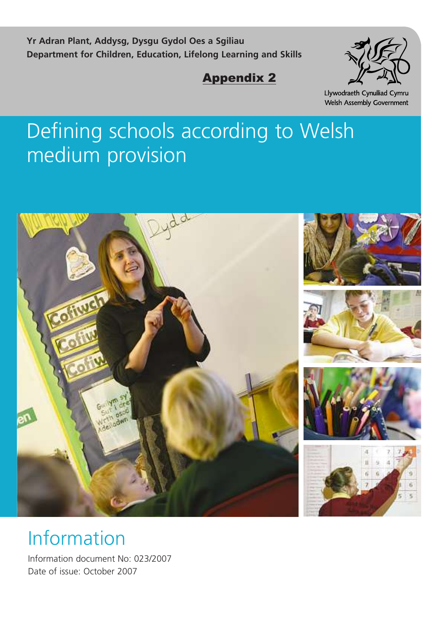**Yr Adran Plant, Addysg, Dysgu Gydol Oes a Sgiliau Department for Children, Education, Lifelong Learning and Skills**

# Appendix 2



Llywodraeth Cynulliad Cymru Welsh Assembly Government

# Defining schools according to Welsh medium provision



# Information

Information document No: 023/2007 Date of issue: October 2007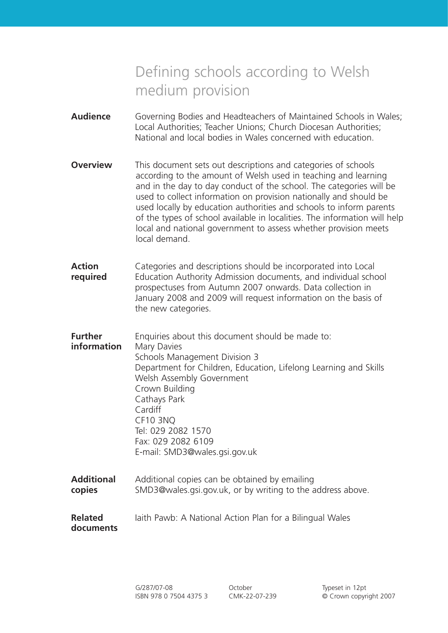# Defining schools according to Welsh medium provision

- **Audience** Governing Bodies and Headteachers of Maintained Schools in Wales; Local Authorities; Teacher Unions; Church Diocesan Authorities; National and local bodies in Wales concerned with education.
- **Overview** This document sets out descriptions and categories of schools according to the amount of Welsh used in teaching and learning and in the day to day conduct of the school. The categories will be used to collect information on provision nationally and should be used locally by education authorities and schools to inform parents of the types of school available in localities. The information will help local and national government to assess whether provision meets local demand.
- **Action** Categories and descriptions should be incorporated into Local **required** Education Authority Admission documents, and individual school prospectuses from Autumn 2007 onwards. Data collection in January 2008 and 2009 will request information on the basis of the new categories.
- **Further** Enquiries about this document should be made to: **information** Mary Davies Schools Management Division 3 Department for Children, Education, Lifelong Learning and Skills Welsh Assembly Government Crown Building Cathays Park Cardiff CF10 3NQ Tel: 029 2082 1570 Fax: 029 2082 6109 E-mail: SMD3@wales.gsi.gov.uk
- **Additional** Additional copies can be obtained by emailing **copies** SMD3@wales.gsi.gov.uk, or by writing to the address above.
- **Related** Iaith Pawb: A National Action Plan for a Bilingual Wales **documents**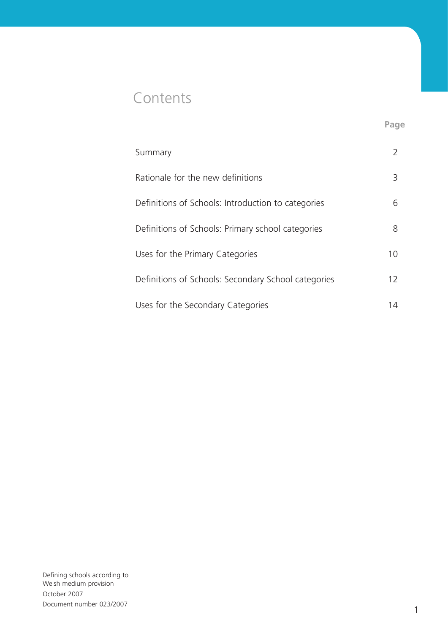# **Contents**

| Summary                                             |    |
|-----------------------------------------------------|----|
| Rationale for the new definitions                   | 3  |
| Definitions of Schools: Introduction to categories  | 6  |
| Definitions of Schools: Primary school categories   | 8  |
| Uses for the Primary Categories                     | 10 |
| Definitions of Schools: Secondary School categories | 12 |
| Uses for the Secondary Categories                   |    |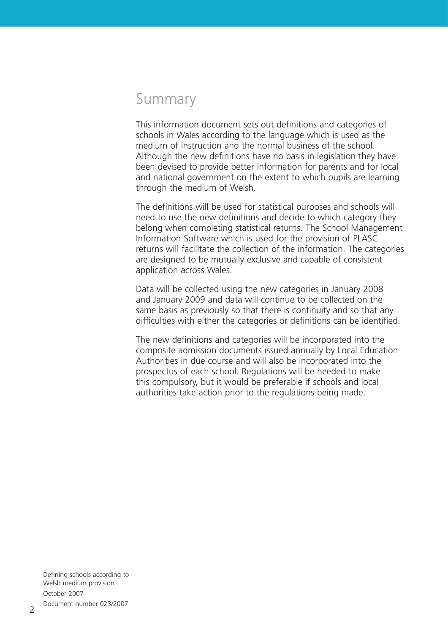# Summary

This information document sets out definitions and categories of schools in Wales according to the language which is used as the medium of instruction and the normal business of the school. Although the new definitions have no basis in legislation they have been devised to provide better information for parents and for local and national government on the extent to which pupils are learning through the medium of Welsh.

The definitions will be used for statistical purposes and schools will need to use the new definitions and decide to which category they belong when completing statistical returns. The School Management Information Software which is used for the provision of PLASC returns will facilitate the collection of the information. The categories are designed to be mutually exclusive and capable of consistent application across Wales.

Data will be collected using the new categories in January 2008 and January 2009 and data will continue to be collected on the same basis as previously so that there is continuity and so that any difficulties with either the categories or definitions can be identified.

The new definitions and categories will be incorporated into the composite admission documents issued annually by Local Education Authorities in due course and will also be incorporated into the prospectus of each school. Regulations will be needed to make this compulsory, but it would be preferable if schools and local authorities take action prior to the regulations being made.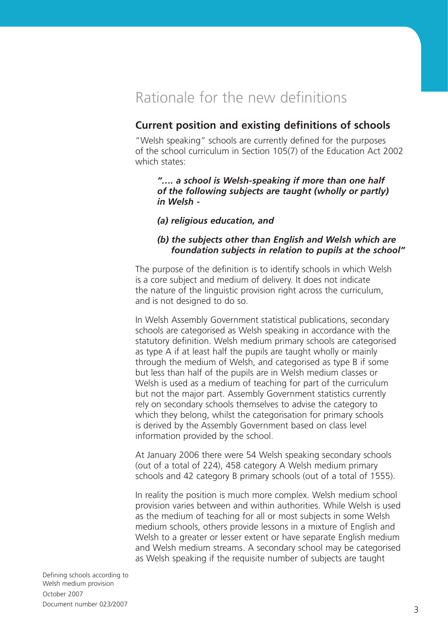# Rationale for the new definitions

## **Current position and existing definitions of schools**

"Welsh speaking" schools are currently defined for the purposes of the school curriculum in Section 105(7) of the Education Act 2002 which states:

*"…. a school is Welsh-speaking if more than one half of the following subjects are taught (wholly or partly) in Welsh -* 

*(a) religious education, and*

#### *(b) the subjects other than English and Welsh which are foundation subjects in relation to pupils at the school"*

The purpose of the definition is to identify schools in which Welsh is a core subject and medium of delivery. It does not indicate the nature of the linguistic provision right across the curriculum, and is not designed to do so.

In Welsh Assembly Government statistical publications, secondary schools are categorised as Welsh speaking in accordance with the statutory definition. Welsh medium primary schools are categorised as type A if at least half the pupils are taught wholly or mainly through the medium of Welsh, and categorised as type B if some but less than half of the pupils are in Welsh medium classes or Welsh is used as a medium of teaching for part of the curriculum but not the major part. Assembly Government statistics currently rely on secondary schools themselves to advise the category to which they belong, whilst the categorisation for primary schools is derived by the Assembly Government based on class level information provided by the school.

At January 2006 there were 54 Welsh speaking secondary schools (out of a total of 224), 458 category A Welsh medium primary schools and 42 category B primary schools (out of a total of 1555).

In reality the position is much more complex. Welsh medium school provision varies between and within authorities. While Welsh is used as the medium of teaching for all or most subjects in some Welsh medium schools, others provide lessons in a mixture of English and Welsh to a greater or lesser extent or have separate English medium and Welsh medium streams. A secondary school may be categorised as Welsh speaking if the requisite number of subjects are taught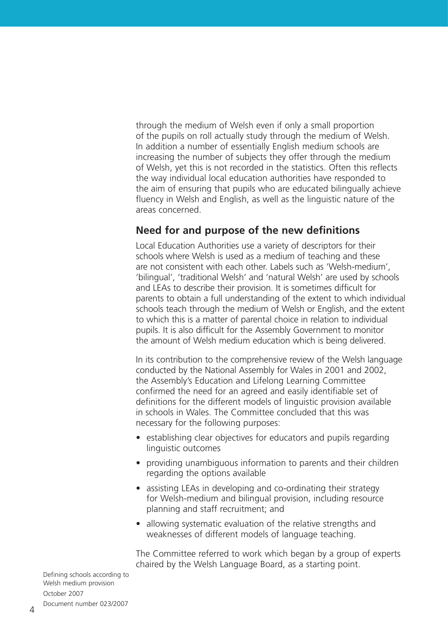through the medium of Welsh even if only a small proportion of the pupils on roll actually study through the medium of Welsh. In addition a number of essentially English medium schools are increasing the number of subjects they offer through the medium of Welsh, yet this is not recorded in the statistics. Often this reflects the way individual local education authorities have responded to the aim of ensuring that pupils who are educated bilingually achieve fluency in Welsh and English, as well as the linguistic nature of the areas concerned.

### **Need for and purpose of the new definitions**

Local Education Authorities use a variety of descriptors for their schools where Welsh is used as a medium of teaching and these are not consistent with each other. Labels such as 'Welsh-medium', 'bilingual', 'traditional Welsh' and 'natural Welsh' are used by schools and LEAs to describe their provision. It is sometimes difficult for parents to obtain a full understanding of the extent to which individual schools teach through the medium of Welsh or English, and the extent to which this is a matter of parental choice in relation to individual pupils. It is also difficult for the Assembly Government to monitor the amount of Welsh medium education which is being delivered.

In its contribution to the comprehensive review of the Welsh language conducted by the National Assembly for Wales in 2001 and 2002, the Assembly's Education and Lifelong Learning Committee confirmed the need for an agreed and easily identifiable set of definitions for the different models of linguistic provision available in schools in Wales. The Committee concluded that this was necessary for the following purposes:

- establishing clear objectives for educators and pupils regarding linguistic outcomes
- providing unambiguous information to parents and their children regarding the options available
- assisting LEAs in developing and co-ordinating their strategy for Welsh-medium and bilingual provision, including resource planning and staff recruitment; and
- allowing systematic evaluation of the relative strengths and weaknesses of different models of language teaching.

The Committee referred to work which began by a group of experts chaired by the Welsh Language Board, as a starting point.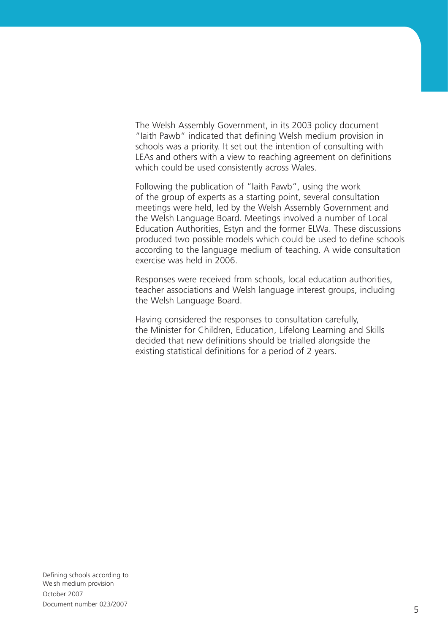The Welsh Assembly Government, in its 2003 policy document "Iaith Pawb" indicated that defining Welsh medium provision in schools was a priority. It set out the intention of consulting with LEAs and others with a view to reaching agreement on definitions which could be used consistently across Wales.

Following the publication of "Iaith Pawb", using the work of the group of experts as a starting point, several consultation meetings were held, led by the Welsh Assembly Government and the Welsh Language Board. Meetings involved a number of Local Education Authorities, Estyn and the former ELWa. These discussions produced two possible models which could be used to define schools according to the language medium of teaching. A wide consultation exercise was held in 2006.

Responses were received from schools, local education authorities, teacher associations and Welsh language interest groups, including the Welsh Language Board.

Having considered the responses to consultation carefully, the Minister for Children, Education, Lifelong Learning and Skills decided that new definitions should be trialled alongside the existing statistical definitions for a period of 2 years.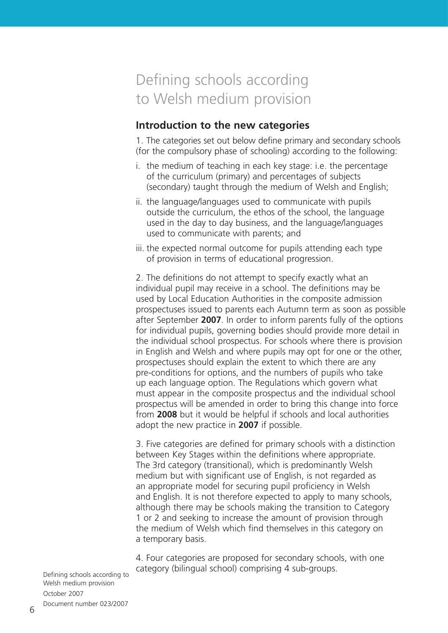# Defining schools according to Welsh medium provision

### **Introduction to the new categories**

. The categories set out below define primary and secondary schools (for the compulsory phase of schooling) according to the following:

- i. the medium of teaching in each key stage: i.e. the percentage of the curriculum (primary) and percentages of subjects (secondary) taught through the medium of Welsh and English;
- ii. the language/languages used to communicate with pupils outside the curriculum, the ethos of the school, the language used in the day to day business, and the language/languages used to communicate with parents; and
- iii. the expected normal outcome for pupils attending each type of provision in terms of educational progression.

2. The definitions do not attempt to specify exactly what an individual pupil may receive in a school. The definitions may be used by Local Education Authorities in the composite admission prospectuses issued to parents each Autumn term as soon as possible after September **2007**. In order to inform parents fully of the options for individual pupils, governing bodies should provide more detail in the individual school prospectus. For schools where there is provision in English and Welsh and where pupils may opt for one or the other, prospectuses should explain the extent to which there are any pre-conditions for options, and the numbers of pupils who take up each language option. The Regulations which govern what must appear in the composite prospectus and the individual school prospectus will be amended in order to bring this change into force from **2008** but it would be helpful if schools and local authorities adopt the new practice in **2007** if possible.

3. Five categories are defined for primary schools with a distinction between Key Stages within the definitions where appropriate. The 3rd category (transitional), which is predominantly Welsh medium but with significant use of English, is not regarded as an appropriate model for securing pupil proficiency in Welsh and English. It is not therefore expected to apply to many schools, although there may be schools making the transition to Category 1 or 2 and seeking to increase the amount of provision through the medium of Welsh which find themselves in this category on a temporary basis.

4. Four categories are proposed for secondary schools, with one category (bilingual school) comprising 4 sub-groups.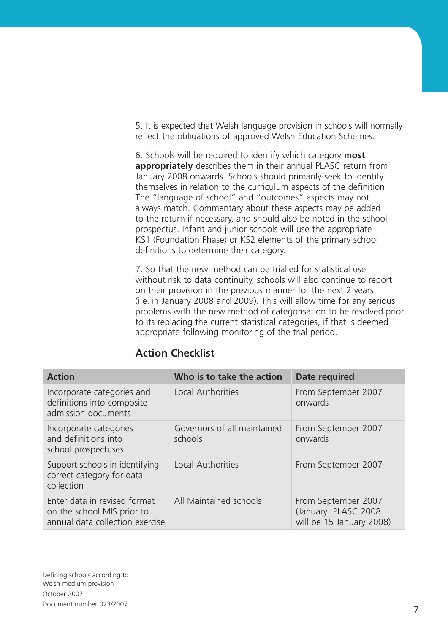5. It is expected that Welsh language provision in schools will normally reflect the obligations of approved Welsh Education Schemes.

6. Schools will be required to identify which category **most appropriately** describes them in their annual PLASC return from January 2008 onwards. Schools should primarily seek to identify themselves in relation to the curriculum aspects of the definition. The "language of school" and "outcomes" aspects may not always match. Commentary about these aspects may be added to the return if necessary, and should also be noted in the school prospectus. Infant and junior schools will use the appropriate KS (Foundation Phase) or KS2 elements of the primary school definitions to determine their category.

7. So that the new method can be trialled for statistical use without risk to data continuity, schools will also continue to report on their provision in the previous manner for the next 2 years (i.e. in January 2008 and 2009). This will allow time for any serious problems with the new method of categorisation to be resolved prior to its replacing the current statistical categories, if that is deemed appropriate following monitoring of the trial period.

| <b>Action</b>                                                                                 | Who is to take the action              | Date required                                                          |
|-----------------------------------------------------------------------------------------------|----------------------------------------|------------------------------------------------------------------------|
| Incorporate categories and<br>definitions into composite<br>admission documents               | Local Authorities                      | From September 2007<br>onwards                                         |
| Incorporate categories<br>and definitions into<br>school prospectuses                         | Governors of all maintained<br>schools | From September 2007<br>onwards                                         |
| Support schools in identifying<br>correct category for data<br>collection                     | Local Authorities                      | From September 2007                                                    |
| Enter data in revised format<br>on the school MIS prior to<br>annual data collection exercise | All Maintained schools                 | From September 2007<br>(January PLASC 2008<br>will be 15 January 2008) |

## **Action Checklist**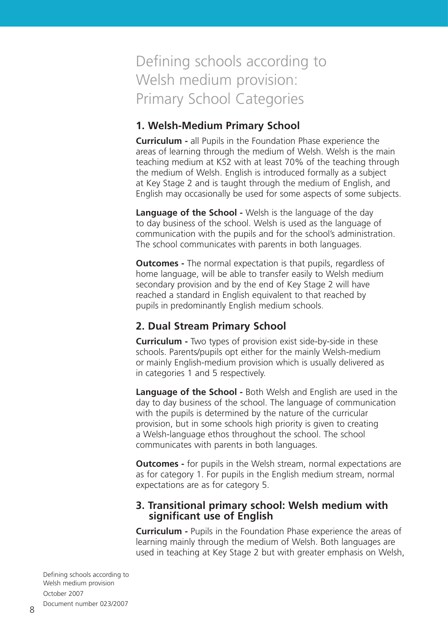# Defining schools according to Welsh medium provision: Primary School Categories

### **1. Welsh-Medium Primary School**

**Curriculum -** all Pupils in the Foundation Phase experience the areas of learning through the medium of Welsh. Welsh is the main teaching medium at KS2 with at least 70% of the teaching through the medium of Welsh. English is introduced formally as a subject at Key Stage 2 and is taught through the medium of English, and English may occasionally be used for some aspects of some subjects.

**Language of the School -** Welsh is the language of the day to day business of the school. Welsh is used as the language of communication with the pupils and for the school's administration. The school communicates with parents in both languages.

**Outcomes -** The normal expectation is that pupils, regardless of home language, will be able to transfer easily to Welsh medium secondary provision and by the end of Key Stage 2 will have reached a standard in English equivalent to that reached by pupils in predominantly English medium schools.

## **2. Dual Stream Primary School**

**Curriculum -** Two types of provision exist side-by-side in these schools. Parents/pupils opt either for the mainly Welsh-medium or mainly English-medium provision which is usually delivered as in categories 1 and 5 respectively.

**Language of the School -** Both Welsh and English are used in the day to day business of the school. The language of communication with the pupils is determined by the nature of the curricular provision, but in some schools high priority is given to creating a Welsh-language ethos throughout the school. The school communicates with parents in both languages.

**Outcomes -** for pupils in the Welsh stream, normal expectations are as for category 1. For pupils in the English medium stream, normal expectations are as for category 5.

#### **3. Transitional primary school: Welsh medium with significant use of English**

**Curriculum -** Pupils in the Foundation Phase experience the areas of learning mainly through the medium of Welsh. Both languages are used in teaching at Key Stage 2 but with greater emphasis on Welsh,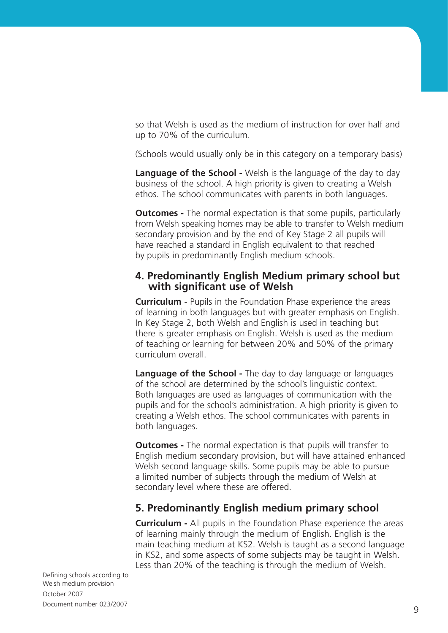so that Welsh is used as the medium of instruction for over half and up to 70% of the curriculum.

(Schools would usually only be in this category on a temporary basis)

**Language of the School -** Welsh is the language of the day to day business of the school. A high priority is given to creating a Welsh ethos. The school communicates with parents in both languages.

**Outcomes -** The normal expectation is that some pupils, particularly from Welsh speaking homes may be able to transfer to Welsh medium secondary provision and by the end of Key Stage 2 all pupils will have reached a standard in English equivalent to that reached by pupils in predominantly English medium schools.

#### **4. Predominantly English Medium primary school but with significant use of Welsh**

**Curriculum -** Pupils in the Foundation Phase experience the areas of learning in both languages but with greater emphasis on English. In Key Stage 2, both Welsh and English is used in teaching but there is greater emphasis on English. Welsh is used as the medium of teaching or learning for between 20% and 50% of the primary curriculum overall.

**Language of the School -** The day to day language or languages of the school are determined by the school's linguistic context. Both languages are used as languages of communication with the pupils and for the school's administration. A high priority is given to creating a Welsh ethos. The school communicates with parents in both languages.

**Outcomes -** The normal expectation is that pupils will transfer to English medium secondary provision, but will have attained enhanced Welsh second language skills. Some pupils may be able to pursue a limited number of subjects through the medium of Welsh at secondary level where these are offered.

## **5. Predominantly English medium primary school**

**Curriculum -** All pupils in the Foundation Phase experience the areas of learning mainly through the medium of English. English is the main teaching medium at KS2. Welsh is taught as a second language in KS2, and some aspects of some subjects may be taught in Welsh. Less than 20% of the teaching is through the medium of Welsh.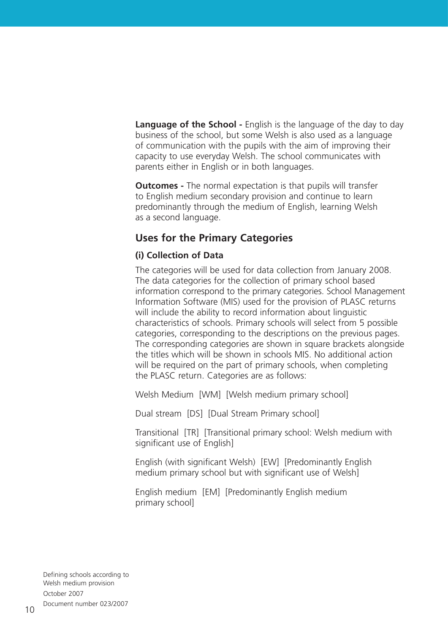**Language of the School -** English is the language of the day to day business of the school, but some Welsh is also used as a language of communication with the pupils with the aim of improving their capacity to use everyday Welsh. The school communicates with parents either in English or in both languages.

**Outcomes -** The normal expectation is that pupils will transfer to English medium secondary provision and continue to learn predominantly through the medium of English, learning Welsh as a second language.

#### **Uses for the Primary Categories**

#### **(i) Collection of Data**

The categories will be used for data collection from January 2008. The data categories for the collection of primary school based information correspond to the primary categories. School Management Information Software (MIS) used for the provision of PLASC returns will include the ability to record information about linguistic characteristics of schools. Primary schools will select from 5 possible categories, corresponding to the descriptions on the previous pages. The corresponding categories are shown in square brackets alongside the titles which will be shown in schools MIS. No additional action will be required on the part of primary schools, when completing the PLASC return. Categories are as follows:

Welsh Medium [WM] [Welsh medium primary school]

Dual stream [DS] [Dual Stream Primary school]

Transitional [TR] [Transitional primary school: Welsh medium with significant use of English]

English (with significant Welsh) [EW] [Predominantly English medium primary school but with significant use of Welsh]

English medium [EM] [Predominantly English medium primary school]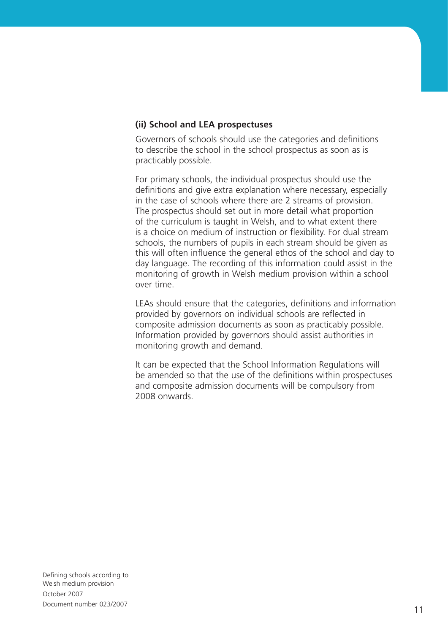#### **(ii) School and LEA prospectuses**

Governors of schools should use the categories and definitions to describe the school in the school prospectus as soon as is practicably possible.

For primary schools, the individual prospectus should use the definitions and give extra explanation where necessary, especially in the case of schools where there are 2 streams of provision. The prospectus should set out in more detail what proportion of the curriculum is taught in Welsh, and to what extent there is a choice on medium of instruction or flexibility. For dual stream schools, the numbers of pupils in each stream should be given as this will often influence the general ethos of the school and day to day language. The recording of this information could assist in the monitoring of growth in Welsh medium provision within a school over time.

LEAs should ensure that the categories, definitions and information provided by governors on individual schools are reflected in composite admission documents as soon as practicably possible. Information provided by governors should assist authorities in monitoring growth and demand.

It can be expected that the School Information Regulations will be amended so that the use of the definitions within prospectuses and composite admission documents will be compulsory from 2008 onwards.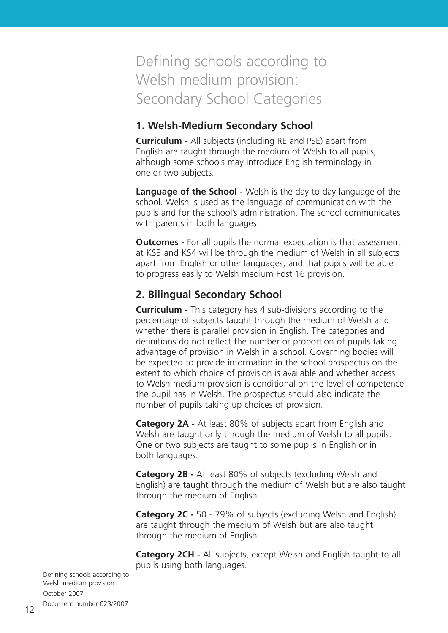# Defining schools according to Welsh medium provision: Secondary School Categories

### **1. Welsh-Medium Secondary School**

**Curriculum -** All subjects (including RE and PSE) apart from English are taught through the medium of Welsh to all pupils, although some schools may introduce English terminology in one or two subjects.

**Language of the School -** Welsh is the day to day language of the school. Welsh is used as the language of communication with the pupils and for the school's administration. The school communicates with parents in both languages.

**Outcomes -** For all pupils the normal expectation is that assessment at KS3 and KS4 will be through the medium of Welsh in all subjects apart from English or other languages, and that pupils will be able to progress easily to Welsh medium Post 16 provision.

# **2. Bilingual Secondary School**

**Curriculum -** This category has 4 sub-divisions according to the percentage of subjects taught through the medium of Welsh and whether there is parallel provision in English. The categories and definitions do not reflect the number or proportion of pupils taking advantage of provision in Welsh in a school. Governing bodies will be expected to provide information in the school prospectus on the extent to which choice of provision is available and whether access to Welsh medium provision is conditional on the level of competence the pupil has in Welsh. The prospectus should also indicate the number of pupils taking up choices of provision.

**Category 2A -** At least 80% of subjects apart from English and Welsh are taught only through the medium of Welsh to all pupils. One or two subjects are taught to some pupils in English or in both languages.

**Category 2B -** At least 80% of subjects (excluding Welsh and English) are taught through the medium of Welsh but are also taught through the medium of English.

**Category 2C -** 50 - 79% of subjects (excluding Welsh and English) are taught through the medium of Welsh but are also taught through the medium of English.

**Category 2CH -** All subjects, except Welsh and English taught to all pupils using both languages.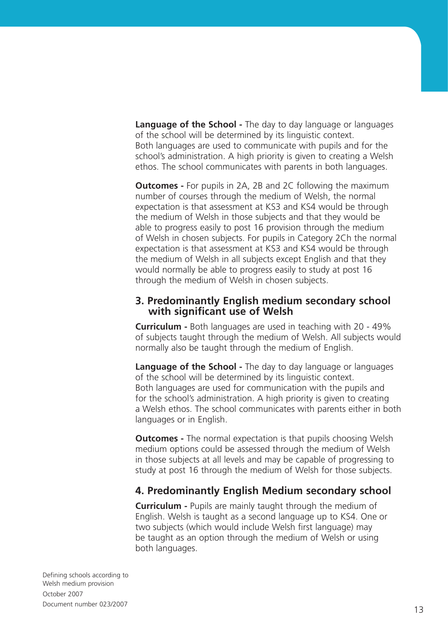**Language of the School -** The day to day language or languages of the school will be determined by its linguistic context. Both languages are used to communicate with pupils and for the school's administration. A high priority is given to creating a Welsh ethos. The school communicates with parents in both languages.

**Outcomes -** For pupils in 2A, 2B and 2C following the maximum number of courses through the medium of Welsh, the normal expectation is that assessment at KS3 and KS4 would be through the medium of Welsh in those subjects and that they would be able to progress easily to post 16 provision through the medium of Welsh in chosen subjects. For pupils in Category 2Ch the normal expectation is that assessment at KS3 and KS4 would be through the medium of Welsh in all subjects except English and that they would normally be able to progress easily to study at post 16 through the medium of Welsh in chosen subjects.

#### **3. Predominantly English medium secondary school with significant use of Welsh**

**Curriculum -** Both languages are used in teaching with 20 - 49% of subjects taught through the medium of Welsh. All subjects would normally also be taught through the medium of English.

**Language of the School -** The day to day language or languages of the school will be determined by its linguistic context. Both languages are used for communication with the pupils and for the school's administration. A high priority is given to creating a Welsh ethos. The school communicates with parents either in both languages or in English.

**Outcomes -** The normal expectation is that pupils choosing Welsh medium options could be assessed through the medium of Welsh in those subjects at all levels and may be capable of progressing to study at post 16 through the medium of Welsh for those subjects.

## **4. Predominantly English Medium secondary school**

**Curriculum -** Pupils are mainly taught through the medium of English. Welsh is taught as a second language up to KS4. One or two subjects (which would include Welsh first language) may be taught as an option through the medium of Welsh or using both languages.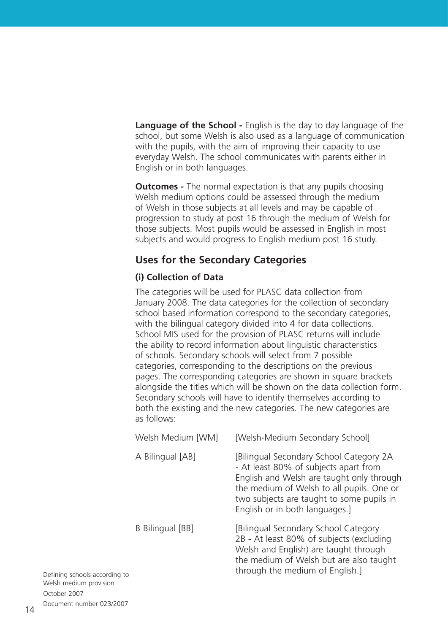**Language of the School -** English is the day to day language of the school, but some Welsh is also used as a language of communication with the pupils, with the aim of improving their capacity to use everyday Welsh. The school communicates with parents either in English or in both languages.

**Outcomes -** The normal expectation is that any pupils choosing Welsh medium options could be assessed through the medium of Welsh in those subjects at all levels and may be capable of progression to study at post 16 through the medium of Welsh for those subjects. Most pupils would be assessed in English in most subjects and would progress to English medium post 16 study.

## **Uses for the Secondary Categories**

#### **(i) Collection of Data**

The categories will be used for PLASC data collection from January 2008. The data categories for the collection of secondary school based information correspond to the secondary categories, with the bilingual category divided into 4 for data collections. School MIS used for the provision of PLASC returns will include the ability to record information about linguistic characteristics of schools. Secondary schools will select from 7 possible categories, corresponding to the descriptions on the previous pages. The corresponding categories are shown in square brackets alongside the titles which will be shown on the data collection form. Secondary schools will have to identify themselves according to both the existing and the new categories. The new categories are as follows:

| Welsh Medium [WM] | [Welsh-Medium Secondary School]                                                                                                                                                                                                                           |
|-------------------|-----------------------------------------------------------------------------------------------------------------------------------------------------------------------------------------------------------------------------------------------------------|
| A Bilingual [AB]  | [Bilingual Secondary School Category 2A<br>- At least 80% of subjects apart from<br>English and Welsh are taught only through<br>the medium of Welsh to all pupils. One or<br>two subjects are taught to some pupils in<br>English or in both languages.] |
| B Bilingual [BB]  | [Bilingual Secondary School Category<br>2B - At least 80% of subjects (excluding<br>Welsh and English) are taught through<br>the medium of Welsh but are also taught<br>through the medium of English.]                                                   |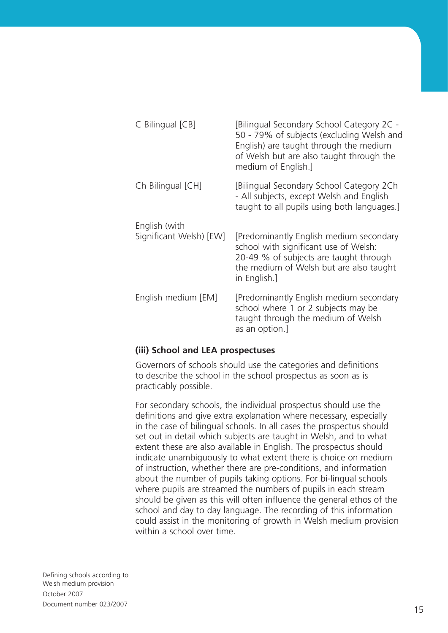| C Bilingual [CB]                         | [Bilingual Secondary School Category 2C -<br>50 - 79% of subjects (excluding Welsh and<br>English) are taught through the medium<br>of Welsh but are also taught through the<br>medium of English.] |
|------------------------------------------|-----------------------------------------------------------------------------------------------------------------------------------------------------------------------------------------------------|
| Ch Bilingual [CH]                        | [Bilingual Secondary School Category 2Ch<br>- All subjects, except Welsh and English<br>taught to all pupils using both languages.]                                                                 |
| English (with<br>Significant Welsh) [EW] | [Predominantly English medium secondary<br>school with significant use of Welsh:<br>20-49 % of subjects are taught through<br>the medium of Welsh but are also taught<br>in English.]               |
| English medium [EM]                      | [Predominantly English medium secondary<br>school where 1 or 2 subjects may be<br>taught through the medium of Welsh<br>as an option.]                                                              |

#### **(iii) School and LEA prospectuses**

Governors of schools should use the categories and definitions to describe the school in the school prospectus as soon as is practicably possible.

For secondary schools, the individual prospectus should use the definitions and give extra explanation where necessary, especially in the case of bilingual schools. In all cases the prospectus should set out in detail which subjects are taught in Welsh, and to what extent these are also available in English. The prospectus should indicate unambiguously to what extent there is choice on medium of instruction, whether there are pre-conditions, and information about the number of pupils taking options. For bi-lingual schools where pupils are streamed the numbers of pupils in each stream should be given as this will often influence the general ethos of the school and day to day language. The recording of this information could assist in the monitoring of growth in Welsh medium provision within a school over time.